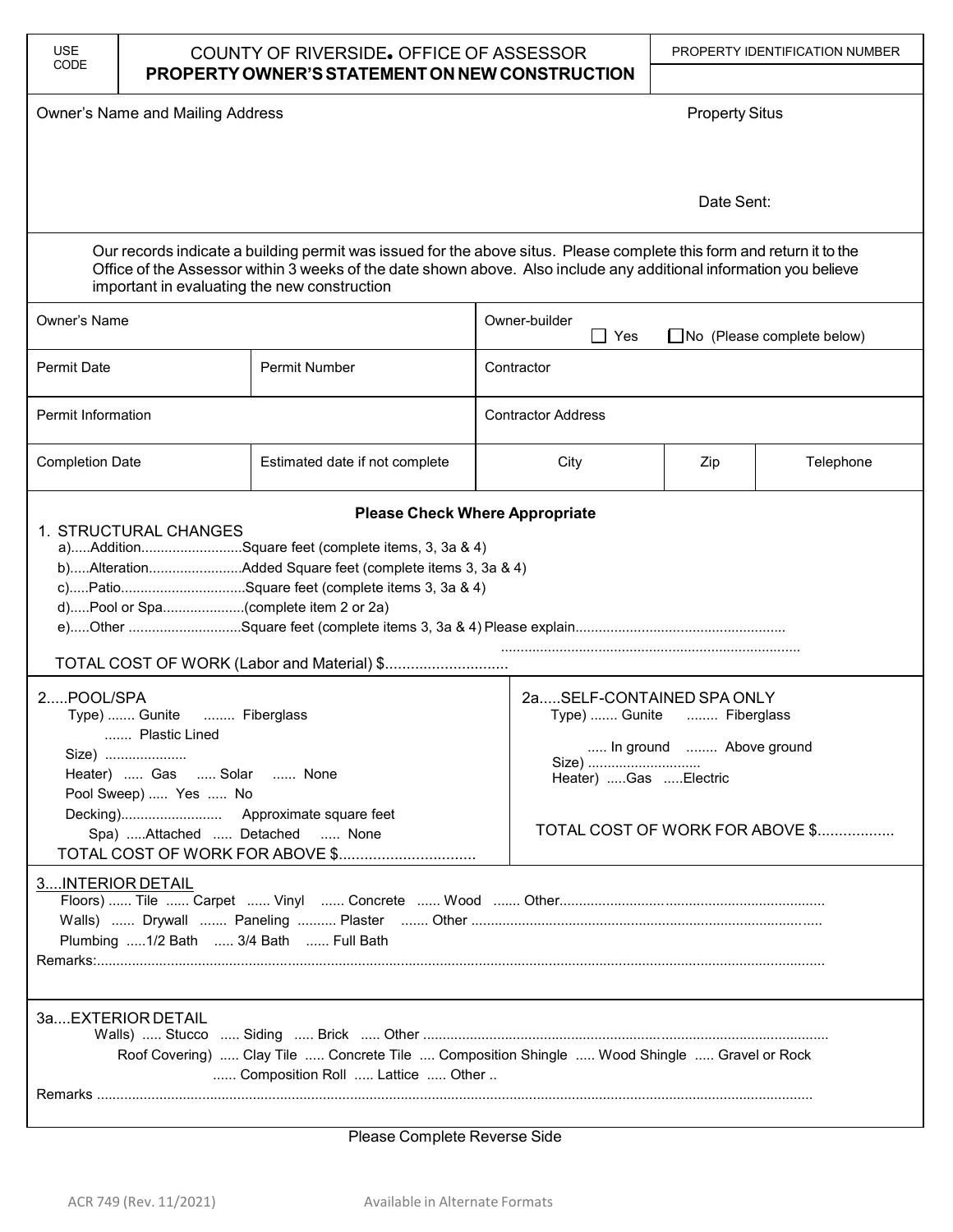| <b>USE</b><br>CODE                                                                                                                                                                                                                                                                          | COUNTY OF RIVERSIDE. OFFICE OF ASSESSOR<br>PROPERTY OWNER'S STATEMENT ON NEW CONSTRUCTION       |                                                                                                                                                                           | PROPERTY IDENTIFICATION NUMBER                            |                                                                                                                      |           |  |  |  |  |  |
|---------------------------------------------------------------------------------------------------------------------------------------------------------------------------------------------------------------------------------------------------------------------------------------------|-------------------------------------------------------------------------------------------------|---------------------------------------------------------------------------------------------------------------------------------------------------------------------------|-----------------------------------------------------------|----------------------------------------------------------------------------------------------------------------------|-----------|--|--|--|--|--|
|                                                                                                                                                                                                                                                                                             | Owner's Name and Mailing Address                                                                |                                                                                                                                                                           |                                                           | <b>Property Situs</b>                                                                                                |           |  |  |  |  |  |
|                                                                                                                                                                                                                                                                                             |                                                                                                 |                                                                                                                                                                           |                                                           |                                                                                                                      |           |  |  |  |  |  |
|                                                                                                                                                                                                                                                                                             |                                                                                                 | Date Sent:                                                                                                                                                                |                                                           |                                                                                                                      |           |  |  |  |  |  |
| Our records indicate a building permit was issued for the above situs. Please complete this form and return it to the<br>Office of the Assessor within 3 weeks of the date shown above. Also include any additional information you believe<br>important in evaluating the new construction |                                                                                                 |                                                                                                                                                                           |                                                           |                                                                                                                      |           |  |  |  |  |  |
| Owner's Name                                                                                                                                                                                                                                                                                |                                                                                                 |                                                                                                                                                                           | Owner-builder<br>$\Box$ Yes<br>No (Please complete below) |                                                                                                                      |           |  |  |  |  |  |
| <b>Permit Date</b>                                                                                                                                                                                                                                                                          |                                                                                                 | Permit Number                                                                                                                                                             | Contractor                                                |                                                                                                                      |           |  |  |  |  |  |
| Permit Information                                                                                                                                                                                                                                                                          |                                                                                                 |                                                                                                                                                                           | <b>Contractor Address</b>                                 |                                                                                                                      |           |  |  |  |  |  |
| <b>Completion Date</b>                                                                                                                                                                                                                                                                      |                                                                                                 | Estimated date if not complete                                                                                                                                            | City                                                      | Zip                                                                                                                  | Telephone |  |  |  |  |  |
| <b>Please Check Where Appropriate</b><br>1. STRUCTURAL CHANGES<br>a)AdditionSquare feet (complete items, 3, 3a & 4)<br>b)AlterationAdded Square feet (complete items 3, 3a & 4)<br>c)PatioSquare feet (complete items 3, 3a & 4)<br>d)Pool or Spa(complete item 2 or 2a)                    |                                                                                                 |                                                                                                                                                                           |                                                           |                                                                                                                      |           |  |  |  |  |  |
| 2POOL/SPA                                                                                                                                                                                                                                                                                   | Type)  Gunite  Fiberglass<br>Plastic Lined<br>Heater)  Gas  Solar  None<br>Pool Sweep)  Yes  No | Spa) Attached  Detached  None                                                                                                                                             | Size)<br>Heater) Gas Electric                             | 2aSELF-CONTAINED SPA ONLY<br>Type)  Gunite  Fiberglass<br>In ground  Above ground<br>TOTAL COST OF WORK FOR ABOVE \$ |           |  |  |  |  |  |
| 3INTERIOR DETAIL                                                                                                                                                                                                                                                                            | 3aEXTERIOR DETAIL                                                                               | Plumbing 1/2 Bath  3/4 Bath  Full Bath<br>Roof Covering)  Clay Tile  Concrete Tile  Composition Shingle  Wood Shingle  Gravel or Rock<br>Composition Roll  Lattice  Other |                                                           |                                                                                                                      |           |  |  |  |  |  |

Please Complete Reverse Side